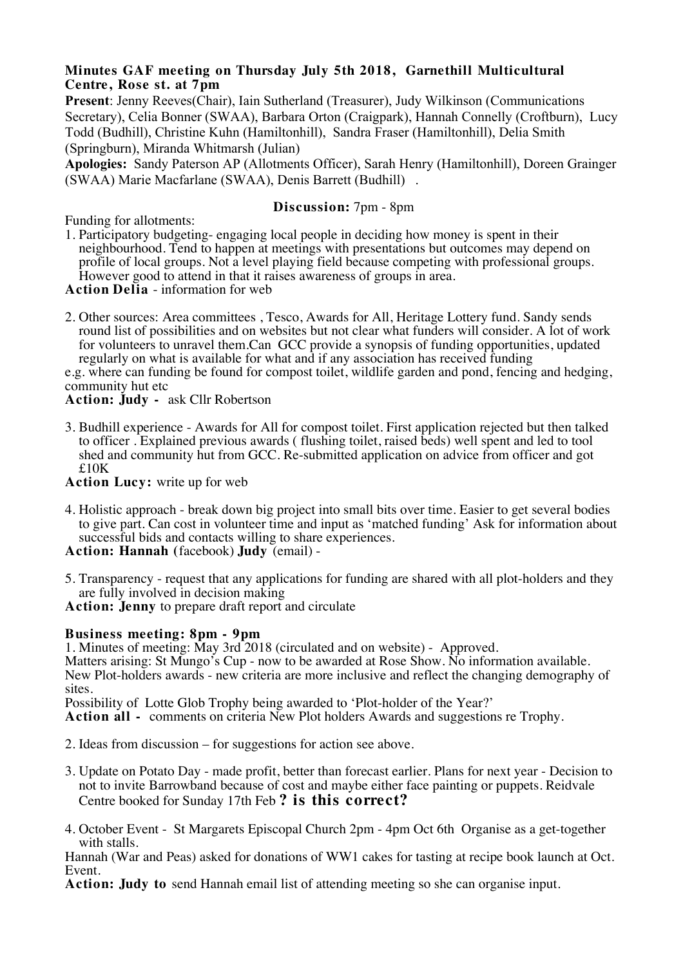## **Minutes GAF meeting on Thursday July 5th 2018, Garnethill Multicultural Centre, Rose st. at 7pm**

**Present**: Jenny Reeves(Chair), Iain Sutherland (Treasurer), Judy Wilkinson (Communications Secretary), Celia Bonner (SWAA), Barbara Orton (Craigpark), Hannah Connelly (Croftburn), Lucy Todd (Budhill), Christine Kuhn (Hamiltonhill), Sandra Fraser (Hamiltonhill), Delia Smith (Springburn), Miranda Whitmarsh (Julian)

**Apologies:** Sandy Paterson AP (Allotments Officer), Sarah Henry (Hamiltonhill), Doreen Grainger (SWAA) Marie Macfarlane (SWAA), Denis Barrett (Budhill) .

## **Discussion:** 7pm - 8pm

Funding for allotments:

1. Participatory budgeting- engaging local people in deciding how money is spent in their neighbourhood. Tend to happen at meetings with presentations but outcomes may depend on profile of local groups. Not a level playing field because competing with professional groups. However good to attend in that it raises awareness of groups in area.

**Action Delia** - information for web

2. Other sources: Area committees , Tesco, Awards for All, Heritage Lottery fund. Sandy sends round list of possibilities and on websites but not clear what funders will consider. A lot of work for volunteers to unravel them.Can GCC provide a synopsis of funding opportunities, updated regularly on what is available for what and if any association has received funding

e.g. where can funding be found for compost toilet, wildlife garden and pond, fencing and hedging, community hut etc

**Action: Judy -** ask Cllr Robertson

3. Budhill experience - Awards for All for compost toilet. First application rejected but then talked to officer . Explained previous awards ( flushing toilet, raised beds) well spent and led to tool shed and community hut from GCC. Re-submitted application on advice from officer and got £10K

**Action Lucy:** write up for web

4. Holistic approach - break down big project into small bits over time. Easier to get several bodies to give part. Can cost in volunteer time and input as 'matched funding' Ask for information about successful bids and contacts willing to share experiences.

**Action: Hannah (**facebook) **Judy** (email) -

5. Transparency - request that any applications for funding are shared with all plot-holders and they are fully involved in decision making

**Action: Jenny** to prepare draft report and circulate

## **Business meeting: 8pm - 9pm**

1. Minutes of meeting: May 3rd 2018 (circulated and on website) - Approved.

Matters arising: St Mungo's Cup - now to be awarded at Rose Show. No information available. New Plot-holders awards - new criteria are more inclusive and reflect the changing demography of sites.

Possibility of Lotte Glob Trophy being awarded to 'Plot-holder of the Year?'

**Action all -** comments on criteria New Plot holders Awards and suggestions re Trophy.

- 2. Ideas from discussion for suggestions for action see above.
- 3. Update on Potato Day made profit, better than forecast earlier. Plans for next year Decision to not to invite Barrowband because of cost and maybe either face painting or puppets. Reidvale Centre booked for Sunday 17th Feb **? is this correct?**
- 4. October Event St Margarets Episcopal Church 2pm 4pm Oct 6th Organise as a get-together with stalls.

Hannah (War and Peas) asked for donations of WW1 cakes for tasting at recipe book launch at Oct.

Action: Judy to send Hannah email list of attending meeting so she can organise input.